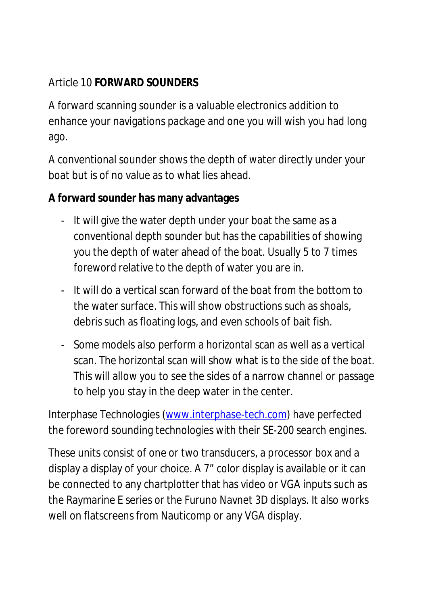#### Article 10 **FORWARD SOUNDERS**

A forward scanning sounder is a valuable electronics addition to enhance your navigations package and one you will wish you had long ago.

A conventional sounder shows the depth of water directly under your boat but is of no value as to what lies ahead.

**A forward sounder has many advantages**

- It will give the water depth under your boat the same as a conventional depth sounder but has the capabilities of showing you the depth of water ahead of the boat. Usually 5 to 7 times foreword relative to the depth of water you are in.
- It will do a vertical scan forward of the boat from the bottom to the water surface. This will show obstructions such as shoals, debris such as floating logs, and even schools of bait fish.
- Some models also perform a horizontal scan as well as a vertical scan. The horizontal scan will show what is to the side of the boat. This will allow you to see the sides of a narrow channel or passage to help you stay in the deep water in the center.

Interphase Technologies ([www.interphase-tech.com](http://www.interphase-tech.com)) have perfected the foreword sounding technologies with their SE-200 search engines.

These units consist of one or two transducers, a processor box and a display a display of your choice. A 7" color display is available or it can be connected to any chartplotter that has video or VGA inputs such as the Raymarine E series or the Furuno Navnet 3D displays. It also works well on flatscreens from Nauticomp or any VGA display.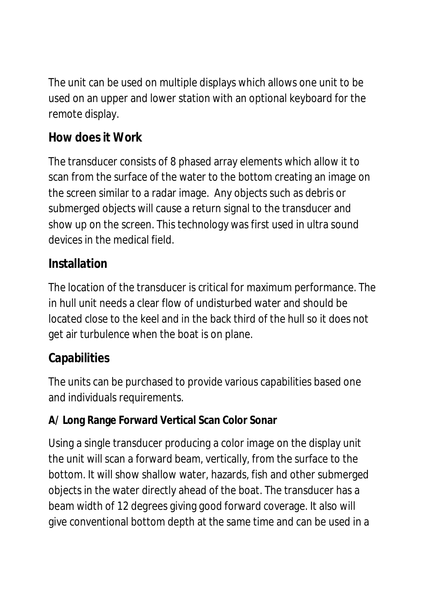The unit can be used on multiple displays which allows one unit to be used on an upper and lower station with an optional keyboard for the remote display.

# **How does it Work**

The transducer consists of 8 phased array elements which allow it to scan from the surface of the water to the bottom creating an image on the screen similar to a radar image. Any objects such as debris or submerged objects will cause a return signal to the transducer and show up on the screen. This technology was first used in ultra sound devices in the medical field.

#### **Installation**

The location of the transducer is critical for maximum performance. The in hull unit needs a clear flow of undisturbed water and should be located close to the keel and in the back third of the hull so it does not get air turbulence when the boat is on plane.

# **Capabilities**

The units can be purchased to provide various capabilities based one and individuals requirements.

# **A/ Long Range Forward Vertical Scan Color Sonar**

Using a single transducer producing a color image on the display unit the unit will scan a forward beam, vertically, from the surface to the bottom. It will show shallow water, hazards, fish and other submerged objects in the water directly ahead of the boat. The transducer has a beam width of 12 degrees giving good forward coverage. It also will give conventional bottom depth at the same time and can be used in a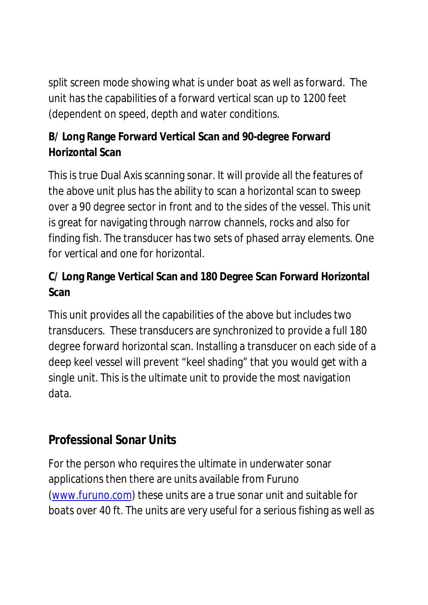split screen mode showing what is under boat as well as forward. The unit has the capabilities of a forward vertical scan up to 1200 feet (dependent on speed, depth and water conditions.

**B/ Long Range Forward Vertical Scan and 90-degree Forward Horizontal Scan**

This is true Dual Axis scanning sonar. It will provide all the features of the above unit plus has the ability to scan a horizontal scan to sweep over a 90 degree sector in front and to the sides of the vessel. This unit is great for navigating through narrow channels, rocks and also for finding fish. The transducer has two sets of phased array elements. One for vertical and one for horizontal.

**C/ Long Range Vertical Scan and 180 Degree Scan Forward Horizontal Scan**

This unit provides all the capabilities of the above but includes two transducers. These transducers are synchronized to provide a full 180 degree forward horizontal scan. Installing a transducer on each side of a deep keel vessel will prevent "keel shading" that you would get with a single unit. This is the ultimate unit to provide the most navigation data.

# **Professional Sonar Units**

For the person who requires the ultimate in underwater sonar applications then there are units available from Furuno [\(www.furuno.com](http://www.furuno.com)) these units are a true sonar unit and suitable for boats over 40 ft. The units are very useful for a serious fishing as well as